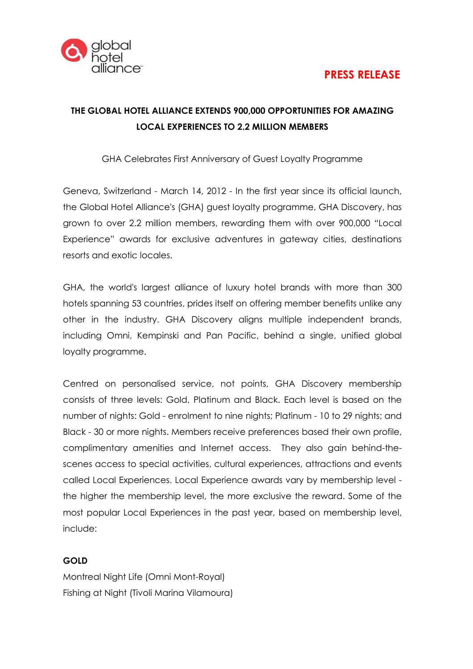



# **THE GLOBAL HOTEL ALLIANCE EXTENDS 900,000 OPPORTUNITIES FOR AMAZING LOCAL EXPERIENCES TO 2.2 MILLION MEMBERS**

GHA Celebrates First Anniversary of Guest Loyalty Programme

Geneva, Switzerland - March 14, 2012 - In the first year since its official launch, the Global Hotel Alliance's (GHA) guest loyalty programme, GHA Discovery, has grown to over 2.2 million members, rewarding them with over 900,000 "Local Experience" awards for exclusive adventures in gateway cities, destinations resorts and exotic locales.

GHA, the world's largest alliance of luxury hotel brands with more than 300 hotels spanning 53 countries, prides itself on offering member benefits unlike any other in the industry. GHA Discovery aligns multiple independent brands, including Omni, Kempinski and Pan Pacific, behind a single, unified global loyalty programme.

Centred on personalised service, not points, GHA Discovery membership consists of three levels: Gold, Platinum and Black. Each level is based on the number of nights: Gold - enrolment to nine nights; Platinum - 10 to 29 nights; and Black - 30 or more nights. Members receive preferences based their own profile, complimentary amenities and Internet access. They also gain behind-thescenes access to special activities, cultural experiences, attractions and events called Local Experiences. Local Experience awards vary by membership level the higher the membership level, the more exclusive the reward. Some of the most popular Local Experiences in the past year, based on membership level, include:

# **GOLD**

Montreal Night Life (Omni Mont-Royal) Fishing at Night (Tivoli Marina Vilamoura)